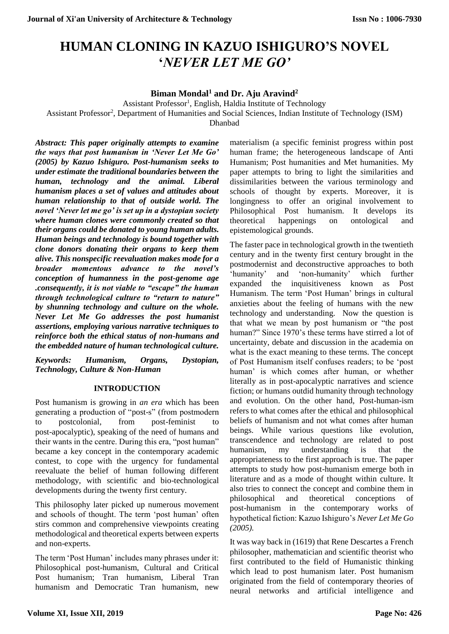# **HUMAN CLONING IN KAZUO ISHIGURO'S NOVEL '***NEVER LET ME GO'*

## **Biman Mondal<sup>1</sup> and Dr. Aju Aravind<sup>2</sup>**

Assistant Professor<sup>1</sup>, English, Haldia Institute of Technology

Assistant Professor<sup>2</sup>, Department of Humanities and Social Sciences, Indian Institute of Technology (ISM)

Dhanbad

*Abstract: This paper originally attempts to examine the ways that post humanism in 'Never Let Me Go' (2005) by Kazuo Ishiguro. Post-humanism seeks to under estimate the traditional boundaries between the human, technology and the animal. Liberal humanism places a set of values and attitudes about human relationship to that of outside world. The novel 'Never let me go' is set up in a dystopian society where human clones were commonly created so that their organs could be donated to young human adults. Human beings and technology is bound together with clone donors donating their organs to keep them alive. This nonspecific reevaluation makes mode for a broader momentous advance to the novel's conception of humanness in the post-genome age .consequently, it is not viable to "escape" the human through technological culture to "return to nature" by shunning technology and culture on the whole. Never Let Me Go addresses the post humanist assertions, employing various narrative techniques to reinforce both the ethical status of non-humans and the embedded nature of human technological culture.*

*Keywords: Humanism, Organs, Dystopian, Technology, Culture & Non-Human*

### **INTRODUCTION**

Post humanism is growing in *an era* which has been generating a production of "post-s" (from postmodern to postcolonial, from post-feminist to post-apocalyptic), speaking of the need of humans and their wants in the centre. During this era, "post human" became a key concept in the contemporary academic contest, to cope with the urgency for fundamental reevaluate the belief of human following different methodology, with scientific and bio-technological developments during the twenty first century.

This philosophy later picked up numerous movement and schools of thought. The term 'post human' often stirs common and comprehensive viewpoints creating methodological and theoretical experts between experts and non-experts.

The term 'Post Human' includes many phrases under it: Philosophical post-humanism, Cultural and Critical Post humanism; Tran humanism, Liberal Tran humanism and Democratic Tran humanism, new

materialism (a specific feminist progress within post human frame; the heterogeneous landscape of Anti Humanism; Post humanities and Met humanities. My paper attempts to bring to light the similarities and dissimilarities between the various terminology and schools of thought by experts. Moreover, it is longingness to offer an original involvement to Philosophical Post humanism. It develops its theoretical happenings on ontological and epistemological grounds.

The faster pace in technological growth in the twentieth century and in the twenty first century brought in the postmodernist and deconstructive approaches to both 'humanity' and 'non-humanity' which further expanded the inquisitiveness known as Post Humanism. The term 'Post Human' brings in cultural anxieties about the feeling of humans with the new technology and understanding. Now the question is that what we mean by post humanism or "the post human?" Since 1970's these terms have stirred a lot of uncertainty, debate and discussion in the academia on what is the exact meaning to these terms. The concept of Post Humanism itself confuses readers; to be 'post human' is which comes after human, or whether literally as in post-apocalyptic narratives and science fiction; or humans outdid humanity through technology and evolution. On the other hand, Post-human-ism refers to what comes after the ethical and philosophical beliefs of humanism and not what comes after human beings. While various questions like evolution, transcendence and technology are related to post humanism, my understanding is that the appropriateness to the first approach is true. The paper attempts to study how post-humanism emerge both in literature and as a mode of thought within culture. It also tries to connect the concept and combine them in philosophical and theoretical conceptions of post-humanism in the contemporary works of hypothetical fiction: Kazuo Ishiguro's *Never Let Me Go (2005).*

It was way back in (1619) that Rene Descartes a French philosopher, mathematician and scientific theorist who first contributed to the field of Humanistic thinking which lead to post humanism later. Post humanism originated from the field of contemporary theories of neural networks and artificial intelligence and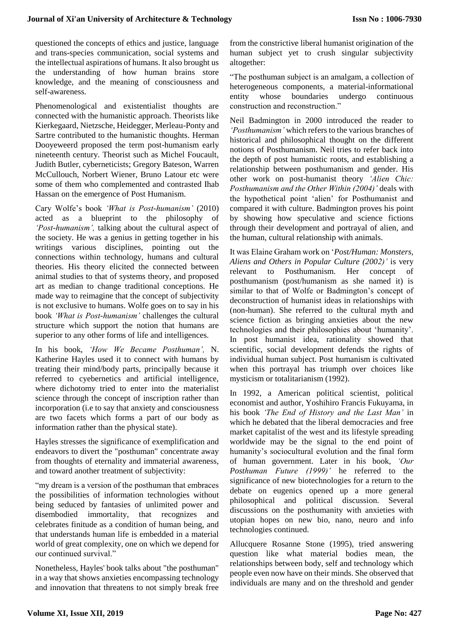questioned the concepts of ethics and justice, language and trans-species communication, social systems and the intellectual aspirations of humans. It also brought us the understanding of how human brains store knowledge, and the meaning of consciousness and self-awareness.

Phenomenological and existentialist thoughts are connected with the humanistic approach. Theorists like Kierkegaard, Nietzsche, Heidegger, Merleau-Ponty and Sartre contributed to the humanistic thoughts. Herman Dooyeweerd proposed the term post-humanism early nineteenth century. Theorist such as Michel Foucault, Judith Butler, cyberneticists; Gregory Bateson, Warren McCullouch, Norbert Wiener, Bruno Latour etc were some of them who complemented and contrasted Ihab Hassan on the emergence of Post Humanism.

Cary Wolfe's book *'What is Post-humanism'* (2010) acted as a blueprint to the philosophy of *'Post-humanism',* talking about the cultural aspect of the society. He was a genius in getting together in his writings various disciplines, pointing out the connections within technology, humans and cultural theories. His theory elicited the connected between animal studies to that of systems theory, and proposed art as median to change traditional conceptions. He made way to reimagine that the concept of subjectivity is not exclusive to humans. Wolfe goes on to say in his book *'What is Post-humanism'* challenges the cultural structure which support the notion that humans are superior to any other forms of life and intelligences.

In his book, *'How We Became Posthuman',* N. Katherine Hayles used it to connect with humans by treating their mind/body parts, principally because it referred to cyebernetics and artificial intelligence, where dichotomy tried to enter into the materialist science through the concept of inscription rather than incorporation (i.e to say that anxiety and consciousness are two facets which forms a part of our body as information rather than the physical state).

Hayles stresses the significance of exemplification and endeavors to divert the "posthuman" concentrate away from thoughts of eternality and immaterial awareness, and toward another treatment of subjectivity:

"my dream is a version of the posthuman that embraces the possibilities of information technologies without being seduced by fantasies of unlimited power and disembodied immortality, that recognizes and celebrates finitude as a condition of human being, and that understands human life is embedded in a material world of great complexity, one on which we depend for our continued survival."

Nonetheless, Hayles' book talks about "the posthuman" in a way that shows anxieties encompassing technology and innovation that threatens to not simply break free from the constrictive liberal humanist origination of the human subject yet to crush singular subjectivity altogether:

"The posthuman subject is an amalgam, a collection of heterogeneous components, a material-informational entity whose boundaries undergo continuous construction and reconstruction."

Neil Badmington in 2000 introduced the reader to *'Posthumanism'* which refers to the various branches of historical and philosophical thought on the different notions of Posthumanism. Neil tries to refer back into the depth of post humanistic roots, and establishing a relationship between posthumanism and gender. His other work on post-humanist theory *'Alien Chic: Posthumanism and the Other Within (2004)'* deals with the hypothetical point 'alien' for Posthumanist and compared it with culture. Badmington proves his point by showing how speculative and science fictions through their development and portrayal of alien, and the human, cultural relationship with animals.

It was Elaine Graham work on '*Post/Human: Monsters, Aliens and Others in Popular Culture (2002)'* is very relevant to Posthumanism. Her concept of posthumanism (post/humanism as she named it) is similar to that of Wolfe or Badmington's concept of deconstruction of humanist ideas in relationships with (non-human). She referred to the cultural myth and science fiction as bringing anxieties about the new technologies and their philosophies about 'humanity'. In post humanist idea, rationality showed that scientific, social development defends the rights of individual human subject. Post humanism is cultivated when this portrayal has triumph over choices like mysticism or totalitarianism (1992).

In 1992, a American political scientist, political economist and author, Yoshihiro Francis Fukuyama, in his book *'The End of History and the Last Man'* in which he debated that the liberal democracies and free market capitalist of the west and its lifestyle spreading worldwide may be the signal to the end point of humanity's sociocultural evolution and the final form of human government. Later in his book, *'Our Posthuman Future (1999)'* he referred to the significance of new biotechnologies for a return to the debate on eugenics opened up a more general philosophical and political discussion. Several discussions on the posthumanity with anxieties with utopian hopes on new bio, nano, neuro and info technologies continued.

Allucquere Rosanne Stone (1995), tried answering question like what material bodies mean, the relationships between body, self and technology which people even now have on their minds. She observed that individuals are many and on the threshold and gender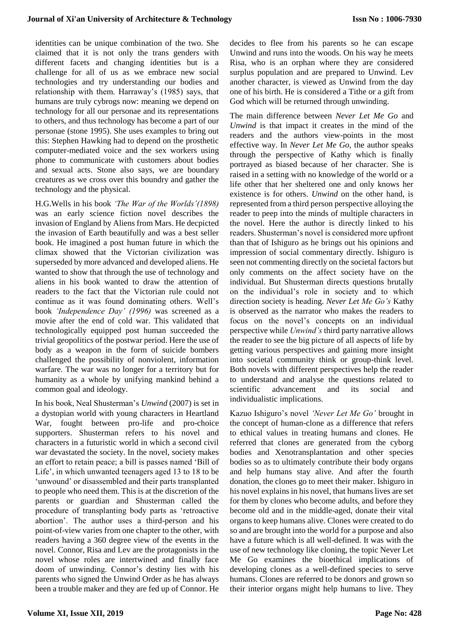identities can be unique combination of the two. She claimed that it is not only the trans genders with different facets and changing identities but is a challenge for all of us as we embrace new social technologies and try understanding our bodies and relationship with them. Harraway's (1985) says, that humans are truly cybrogs now: meaning we depend on technology for all our personae and its representations to others, and thus technology has become a part of our personae (stone 1995). She uses examples to bring out this: Stephen Hawking had to depend on the prosthetic computer-mediated voice and the sex workers using phone to communicate with customers about bodies and sexual acts. Stone also says, we are boundary creatures as we cross over this boundry and gather the technology and the physical.

H.G.Wells in his book *'The War of the Worlds'(1898)*  was an early science fiction novel describes the invasion of England by Aliens from Mars. He decpicted the invasion of Earth beautifully and was a best seller book. He imagined a post human future in which the climax showed that the Victorian civilization was superseded by more advanced and developed aliens. He wanted to show that through the use of technology and aliens in his book wanted to draw the attention of readers to the fact that the Victorian rule could not continue as it was found dominating others. Well's book *'Independence Day' (1996)* was screened as a movie after the end of cold war. This validated that technologically equipped post human succeeded the trivial geopolitics of the postwar period. Here the use of body as a weapon in the form of suicide bombers challenged the possibility of nonviolent, information warfare. The war was no longer for a territory but for humanity as a whole by unifying mankind behind a common goal and ideology.

In his book, Neal Shusterman's *Unwind* (2007) is set in a dystopian world with young characters in Heartland War, fought between pro-life and pro-choice supporters. Shusterman refers to his novel and characters in a futuristic world in which a second civil war devastated the society. In the novel, society makes an effort to retain peace; a bill is passes named 'Bill of Life', in which unwanted teenagers aged 13 to 18 to be 'unwound' or disassembled and their parts transplanted to people who need them. This is at the discretion of the parents or guardian and Shusterman called the procedure of transplanting body parts as 'retroactive abortion'. The author uses a third-person and his point-of-view varies from one chapter to the other, with readers having a 360 degree view of the events in the novel. Connor, Risa and Lev are the protagonists in the novel whose roles are intertwined and finally face doom of unwinding. Connor's destiny lies with his parents who signed the Unwind Order as he has always been a trouble maker and they are fed up of Connor. He decides to flee from his parents so he can escape Unwind and runs into the woods. On his way he meets Risa, who is an orphan where they are considered surplus population and are prepared to Unwind. Lev another character, is viewed as Unwind from the day one of his birth. He is considered a Tithe or a gift from God which will be returned through unwinding.

The main difference between *Never Let Me Go* and *Unwind* is that impact it creates in the mind of the readers and the authors view-points in the most effective way. In *Never Let Me Go,* the author speaks through the perspective of Kathy which is finally portrayed as biased because of her character. She is raised in a setting with no knowledge of the world or a life other that her sheltered one and only knows her existence is for others. *Unwind* on the other hand, is represented from a third person perspective alloying the reader to peep into the minds of multiple characters in the novel. Here the author is directly linked to his readers. Shusterman's novel is considered more upfront than that of Ishiguro as he brings out his opinions and impression of social commentary directly. Ishiguro is seen not commenting directly on the societal factors but only comments on the affect society have on the individual. But Shusterman directs questions brutally on the individual's role in society and to which direction society is heading. *Never Let Me Go's* Kathy is observed as the narrator who makes the readers to focus on the novel's concepts on an individual perspective while *Unwind's* third party narrative allows the reader to see the big picture of all aspects of life by getting various perspectives and gaining more insight into societal community think or group-think level. Both novels with different perspectives help the reader to understand and analyse the questions related to scientific advancement and its social and individualistic implications.

Kazuo Ishiguro's novel *'Never Let Me Go'* brought in the concept of human-clone as a difference that refers to ethical values in treating humans and clones. He referred that clones are generated from the cyborg bodies and Xenotransplantation and other species bodies so as to ultimately contribute their body organs and help humans stay alive. And after the fourth donation, the clones go to meet their maker. Ishiguro in his novel explains in his novel, that humans lives are set for them by clones who become adults, and before they become old and in the middle-aged, donate their vital organs to keep humans alive. Clones were created to do so and are brought into the world for a purpose and also have a future which is all well-defined. It was with the use of new technology like cloning, the topic Never Let Me Go examines the bioethical implications of developing clones as a well-defined species to serve humans. Clones are referred to be donors and grown so their interior organs might help humans to live. They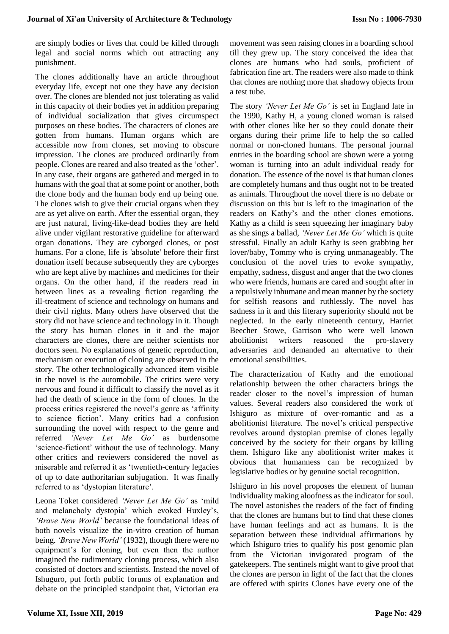are simply bodies or lives that could be killed through legal and social norms which out attracting any punishment.

The clones additionally have an article throughout everyday life, except not one they have any decision over. The clones are blended not just tolerating as valid in this capacity of their bodies yet in addition preparing of individual socialization that gives circumspect purposes on these bodies. The characters of clones are gotten from humans. Human organs which are accessible now from clones, set moving to obscure impression. The clones are produced ordinarily from people. Clones are reared and also treated as the 'other'. In any case, their organs are gathered and merged in to humans with the goal that at some point or another, both the clone body and the human body end up being one. The clones wish to give their crucial organs when they are as yet alive on earth. After the essential organ, they are just natural, living-like-dead bodies they are held alive under vigilant restorative guideline for afterward organ donations. They are cyborged clones, or post humans. For a clone, life is 'absolute' before their first donation itself because subsequently they are cyborges who are kept alive by machines and medicines for their organs. On the other hand, if the readers read in between lines as a revealing fiction regarding the ill-treatment of science and technology on humans and their civil rights. Many others have observed that the story did not have science and technology in it. Though the story has human clones in it and the major characters are clones, there are neither scientists nor doctors seen. No explanations of genetic reproduction, mechanism or execution of cloning are observed in the story. The other technologically advanced item visible in the novel is the automobile. The critics were very nervous and found it difficult to classify the novel as it had the death of science in the form of clones. In the process critics registered the novel's genre as 'affinity to science fiction'. Many critics had a confusion surrounding the novel with respect to the genre and referred *'Never Let Me Go'* as burdensome 'science-fictiont' without the use of technology. Many other critics and reviewers considered the novel as miserable and referred it as 'twentieth-century legacies of up to date authoritarian subjugation. It was finally referred to as 'dystopian literature'.

Leona Toket considered *'Never Let Me Go'* as 'mild and melancholy dystopia' which evoked Huxley's, *'Brave New World'* because the foundational ideas of both novels visualize the in-vitro creation of human being. *'Brave New World'* (1932), though there were no equipment's for cloning, but even then the author imagined the rudimentary cloning process, which also consisted of doctors and scientists. Instead the novel of Ishuguro, put forth public forums of explanation and debate on the principled standpoint that, Victorian era movement was seen raising clones in a boarding school till they grew up. The story conceived the idea that clones are humans who had souls, proficient of fabrication fine art. The readers were also made to think that clones are nothing more that shadowy objects from a test tube.

The story *'Never Let Me Go'* is set in England late in the 1990, Kathy H, a young cloned woman is raised with other clones like her so they could donate their organs during their prime life to help the so called normal or non-cloned humans. The personal journal entries in the boarding school are shown were a young woman is turning into an adult individual ready for donation. The essence of the novel is that human clones are completely humans and thus ought not to be treated as animals. Throughout the novel there is no debate or discussion on this but is left to the imagination of the readers on Kathy's and the other clones emotions. Kathy as a child is seen squeezing her imaginary baby as she sings a ballad, *'Never Let Me Go'* which is quite stressful. Finally an adult Kathy is seen grabbing her lover/baby, Tommy who is crying unmanageably. The conclusion of the novel tries to evoke sympathy, empathy, sadness, disgust and anger that the two clones who were friends, humans are cared and sought after in a repulsively inhumane and mean manner by the society for selfish reasons and ruthlessly. The novel has sadness in it and this literary superiority should not be neglected. In the early nineteenth century, Harriet Beecher Stowe, Garrison who were well known abolitionist writers reasoned the pro-slavery adversaries and demanded an alternative to their emotional sensibilities.

The characterization of Kathy and the emotional relationship between the other characters brings the reader closer to the novel's impression of human values. Several readers also considered the work of Ishiguro as mixture of over-romantic and as a abolitionist literature. The novel's critical perspective revolves around dystopian premise of clones legally conceived by the society for their organs by killing them. Ishiguro like any abolitionist writer makes it obvious that humanness can be recognized by legislative bodies or by genuine social recognition.

Ishiguro in his novel proposes the element of human individuality making aloofness as the indicator for soul. The novel astonishes the readers of the fact of finding that the clones are humans but to find that these clones have human feelings and act as humans. It is the separation between these individual affirmations by which Ishiguro tries to qualify his post genomic plan from the Victorian invigorated program of the gatekeepers. The sentinels might want to give proof that the clones are person in light of the fact that the clones are offered with spirits Clones have every one of the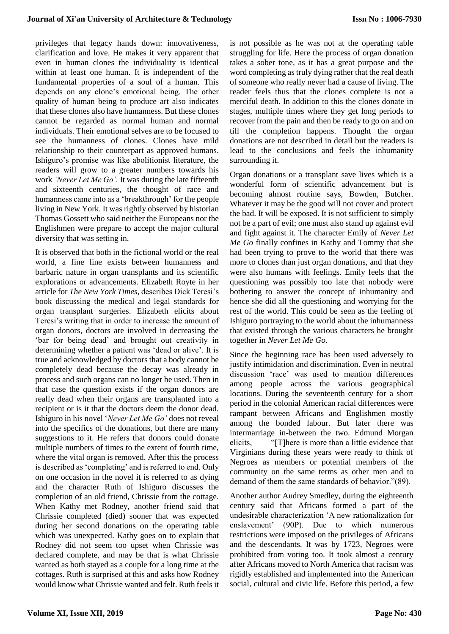#### **Journal of Xi'an University of Architecture & Technology**

privileges that legacy hands down: innovativeness, clarification and love. He makes it very apparent that even in human clones the individuality is identical within at least one human. It is independent of the fundamental properties of a soul of a human. This depends on any clone's emotional being. The other quality of human being to produce art also indicates that these clones also have humanness. But these clones cannot be regarded as normal human and normal individuals. Their emotional selves are to be focused to see the humanness of clones. Clones have mild relationship to their counterpart as approved humans. Ishiguro's promise was like abolitionist literature, the readers will grow to a greater numbers towards his work *'Never Let Me Go'.* It was during the late fifteenth and sixteenth centuries, the thought of race and humanness came into as a 'breakthrough' for the people living in New York. It was rightly observed by historian Thomas Gossett who said neither the Europeans nor the Englishmen were prepare to accept the major cultural diversity that was setting in.

It is observed that both in the fictional world or the real world, a fine line exists between humanness and barbaric nature in organ transplants and its scientific explorations or advancements. Elizabeth Royte in her article for *The New York Times,* describes Dick Teresi's book discussing the medical and legal standards for organ transplant surgeries. Elizabeth elicits about Teresi's writing that in order to increase the amount of organ donors, doctors are involved in decreasing the 'bar for being dead' and brought out creativity in determining whether a patient was 'dead or alive'. It is true and acknowledged by doctors that a body cannot be completely dead because the decay was already in process and such organs can no longer be used. Then in that case the question exists if the organ donors are really dead when their organs are transplanted into a recipient or is it that the doctors deem the donor dead. Ishiguro in his novel '*Never Let Me Go'* does not reveal into the specifics of the donations, but there are many suggestions to it. He refers that donors could donate multiple numbers of times to the extent of fourth time, where the vital organ is removed. After this the process is described as 'completing' and is referred to end. Only on one occasion in the novel it is referred to as dying and the character Ruth of Ishiguro discusses the completion of an old friend, Chrissie from the cottage. When Kathy met Rodney, another friend said that Chrissie completed (died) sooner that was expected during her second donations on the operating table which was unexpected. Kathy goes on to explain that Rodney did not seem too upset when Chrissie was declared complete, and may be that is what Chrissie wanted as both stayed as a couple for a long time at the cottages. Ruth is surprised at this and asks how Rodney would know what Chrissie wanted and felt. Ruth feels it is not possible as he was not at the operating table struggling for life. Here the process of organ donation takes a sober tone, as it has a great purpose and the word completing as truly dying rather that the real death of someone who really never had a cause of living. The reader feels thus that the clones complete is not a merciful death. In addition to this the clones donate in stages, multiple times where they get long periods to recover from the pain and then be ready to go on and on till the completion happens. Thought the organ donations are not described in detail but the readers is lead to the conclusions and feels the inhumanity surrounding it.

Organ donations or a transplant save lives which is a wonderful form of scientific advancement but is becoming almost routine says, Bowden, Butcher. Whatever it may be the good will not cover and protect the bad. It will be exposed. It is not sufficient to simply not be a part of evil; one must also stand up against evil and fight against it. The character Emily of *Never Let Me Go* finally confines in Kathy and Tommy that she had been trying to prove to the world that there was more to clones than just organ donations, and that they were also humans with feelings. Emily feels that the questioning was possibly too late that nobody were bothering to answer the concept of inhumanity and hence she did all the questioning and worrying for the rest of the world. This could be seen as the feeling of Ishiguro portraying to the world about the inhumanness that existed through the various characters he brought together in *Never Let Me Go.*

Since the beginning race has been used adversely to justify intimidation and discrimination. Even in neutral discussion 'race' was used to mention differences among people across the various geographical locations. During the seventeenth century for a short period in the colonial American racial differences were rampant between Africans and Englishmen mostly among the bonded labour. But later there was intermarriage in-between the two. Edmund Morgan elicits, "[T]here is more than a little evidence that Virginians during these years were ready to think of Negroes as members or potential members of the community on the same terms as other men and to demand of them the same standards of behavior."(89).

Another author Audrey Smedley, during the eighteenth century said that Africans formed a part of the undesirable characterization 'A new rationalization for enslavement' (90P). Due to which numerous restrictions were imposed on the privileges of Africans and the descendants. It was by 1723, Negroes were prohibited from voting too. It took almost a century after Africans moved to North America that racism was rigidly established and implemented into the American social, cultural and civic life. Before this period, a few